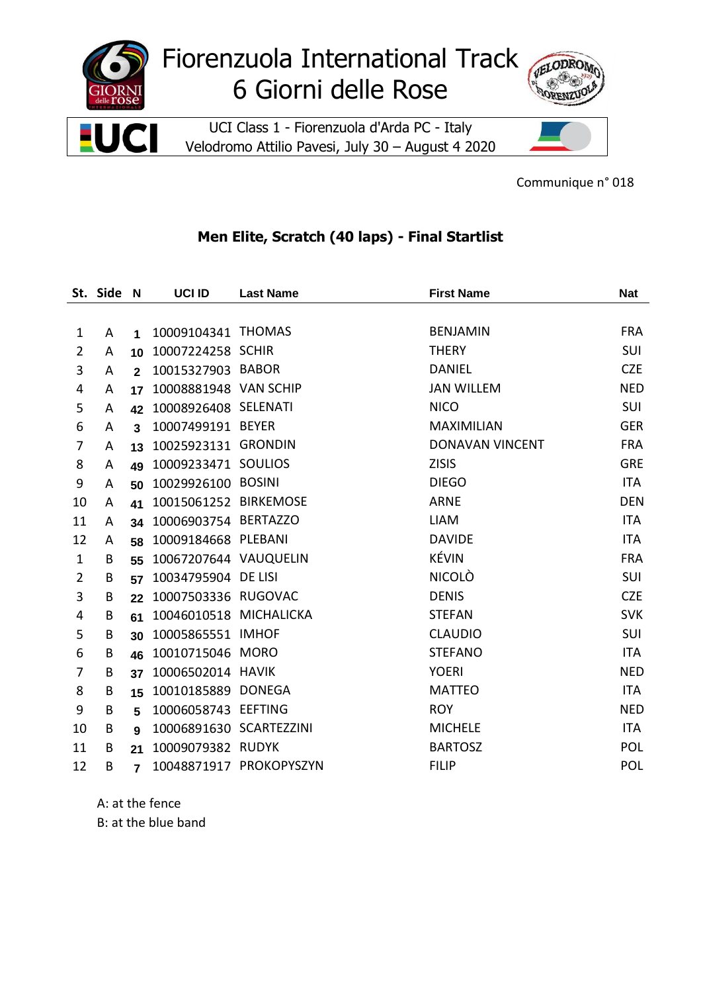

Communique n° 018

## **Men Elite, Scratch (40 laps) - Final Startlist**

|                | St. Side N |                      | <b>UCI ID</b>           | <b>Last Name</b>        | <b>First Name</b>      | <b>Nat</b> |
|----------------|------------|----------------------|-------------------------|-------------------------|------------------------|------------|
|                |            |                      |                         |                         |                        |            |
| $\mathbf{1}$   | A          | $\blacktriangleleft$ | 10009104341 THOMAS      |                         | <b>BENJAMIN</b>        | <b>FRA</b> |
| $\overline{2}$ | A          | 10                   | 10007224258 SCHIR       |                         | <b>THERY</b>           | SUI        |
| 3              | Α          | $\overline{2}$       | 10015327903 BABOR       |                         | <b>DANIEL</b>          | <b>CZE</b> |
| 4              | A          | 17                   | 10008881948 VAN SCHIP   |                         | <b>JAN WILLEM</b>      | <b>NED</b> |
| 5              | A          | 42                   | 10008926408 SELENATI    |                         | <b>NICO</b>            | SUI        |
| 6              | A          | 3                    | 10007499191 BEYER       |                         | <b>MAXIMILIAN</b>      | <b>GER</b> |
| 7              | A          | 13                   | 10025923131 GRONDIN     |                         | <b>DONAVAN VINCENT</b> | <b>FRA</b> |
| 8              | Α          | 49                   | 10009233471 SOULIOS     |                         | <b>ZISIS</b>           | <b>GRE</b> |
| 9              | A          | 50                   | 10029926100 BOSINI      |                         | <b>DIEGO</b>           | <b>ITA</b> |
| 10             | A          | 41                   | 10015061252 BIRKEMOSE   |                         | <b>ARNE</b>            | <b>DEN</b> |
| 11             | A          | 34                   | 10006903754 BERTAZZO    |                         | <b>LIAM</b>            | <b>ITA</b> |
| 12             | A          | 58                   | 10009184668 PLEBANI     |                         | <b>DAVIDE</b>          | <b>ITA</b> |
| $\mathbf{1}$   | B          | 55                   | 10067207644 VAUQUELIN   |                         | <b>KÉVIN</b>           | <b>FRA</b> |
| $\overline{2}$ | B          | 57                   | 10034795904 DE LISI     |                         | <b>NICOLO</b>          | SUI        |
| 3              | B          | 22                   | 10007503336 RUGOVAC     |                         | <b>DENIS</b>           | <b>CZE</b> |
| 4              | B          | 61                   | 10046010518 MICHALICKA  |                         | <b>STEFAN</b>          | <b>SVK</b> |
| 5              | B          | 30                   | 10005865551 IMHOF       |                         | <b>CLAUDIO</b>         | SUI        |
| 6              | B          | 46                   | 10010715046 MORO        |                         | <b>STEFANO</b>         | <b>ITA</b> |
| 7              | B          | 37                   | 10006502014 HAVIK       |                         | <b>YOERI</b>           | <b>NED</b> |
| 8              | B          | 15                   | 10010185889 DONEGA      |                         | <b>MATTEO</b>          | <b>ITA</b> |
| 9              | B          | 5                    | 10006058743 EEFTING     |                         | <b>ROY</b>             | <b>NED</b> |
| 10             | B          | 9                    | 10006891630 SCARTEZZINI |                         | <b>MICHELE</b>         | <b>ITA</b> |
| 11             | B          | 21                   | 10009079382 RUDYK       |                         | <b>BARTOSZ</b>         | <b>POL</b> |
| 12             | B          | $\overline{7}$       |                         | 10048871917 PROKOPYSZYN | <b>FILIP</b>           | POL        |

A: at the fence

B: at the blue band